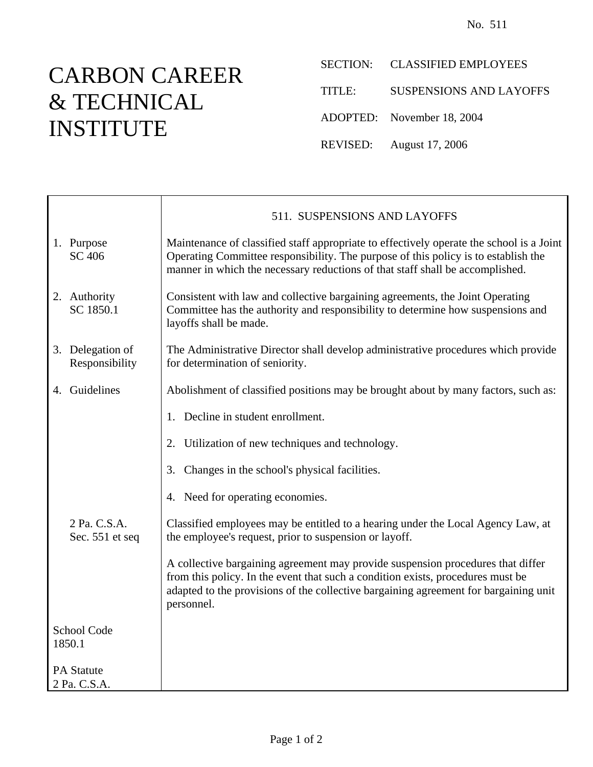## CARBON CAREER & TECHNICAL INSTITUTE

 $\mathsf{r}$ 

SECTION: CLASSIFIED EMPLOYEES

TITLE: SUSPENSIONS AND LAYOFFS

ADOPTED: November 18, 2004

REVISED: August 17, 2006

|                                   |                                    | 511. SUSPENSIONS AND LAYOFFS                                                                                                                                                                                                                                             |
|-----------------------------------|------------------------------------|--------------------------------------------------------------------------------------------------------------------------------------------------------------------------------------------------------------------------------------------------------------------------|
| 1.                                | Purpose<br><b>SC 406</b>           | Maintenance of classified staff appropriate to effectively operate the school is a Joint<br>Operating Committee responsibility. The purpose of this policy is to establish the<br>manner in which the necessary reductions of that staff shall be accomplished.          |
|                                   | 2. Authority<br>SC 1850.1          | Consistent with law and collective bargaining agreements, the Joint Operating<br>Committee has the authority and responsibility to determine how suspensions and<br>layoffs shall be made.                                                                               |
|                                   | 3. Delegation of<br>Responsibility | The Administrative Director shall develop administrative procedures which provide<br>for determination of seniority.                                                                                                                                                     |
|                                   | 4. Guidelines                      | Abolishment of classified positions may be brought about by many factors, such as:                                                                                                                                                                                       |
|                                   |                                    | Decline in student enrollment.<br>1.                                                                                                                                                                                                                                     |
|                                   |                                    | Utilization of new techniques and technology.<br>2.                                                                                                                                                                                                                      |
|                                   |                                    | Changes in the school's physical facilities.<br>3.                                                                                                                                                                                                                       |
|                                   |                                    | Need for operating economies.<br>4.                                                                                                                                                                                                                                      |
|                                   | 2 Pa. C.S.A.<br>Sec. 551 et seq    | Classified employees may be entitled to a hearing under the Local Agency Law, at<br>the employee's request, prior to suspension or layoff.                                                                                                                               |
|                                   |                                    | A collective bargaining agreement may provide suspension procedures that differ<br>from this policy. In the event that such a condition exists, procedures must be<br>adapted to the provisions of the collective bargaining agreement for bargaining unit<br>personnel. |
| School Code<br>1850.1             |                                    |                                                                                                                                                                                                                                                                          |
| <b>PA Statute</b><br>2 Pa. C.S.A. |                                    |                                                                                                                                                                                                                                                                          |